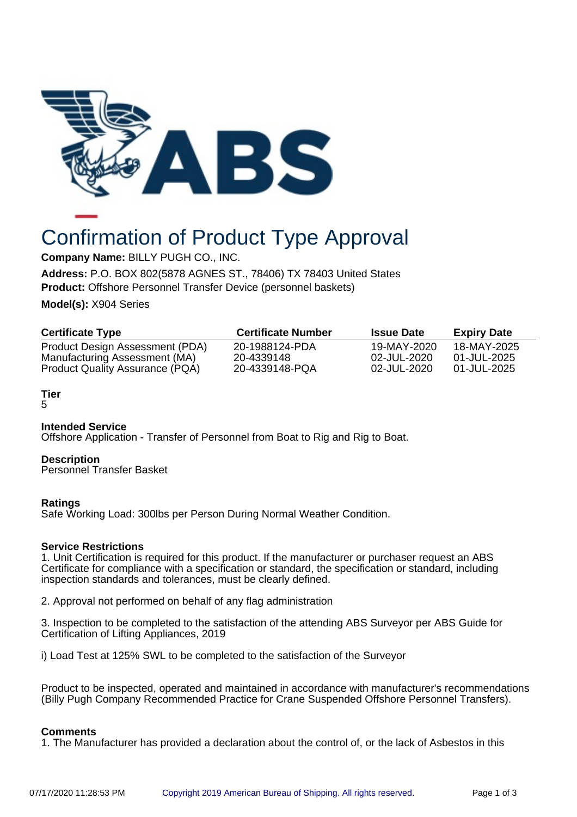

# Confirmation of Product Type Approval

**Company Name:** BILLY PUGH CO., INC.

**Address:** P.O. BOX 802(5878 AGNES ST., 78406) TX 78403 United States **Product:** Offshore Personnel Transfer Device (personnel baskets)

**Model(s):** X904 Series

| <b>Certificate Type</b>                | <b>Certificate Number</b> | <b>Issue Date</b> | <b>Expiry Date</b> |
|----------------------------------------|---------------------------|-------------------|--------------------|
| Product Design Assessment (PDA)        | 20-1988124-PDA            | 19-MAY-2020       | 18-MAY-2025        |
| Manufacturing Assessment (MA)          | 20-4339148                | 02-JUL-2020       | 01-JUL-2025        |
| <b>Product Quality Assurance (PQA)</b> | 20-4339148-PQA            | 02-JUL-2020       | 01-JUL-2025        |

## **Tier**

5

## **Intended Service**

Offshore Application - Transfer of Personnel from Boat to Rig and Rig to Boat.

## **Description**

Personnel Transfer Basket

## **Ratings**

Safe Working Load: 300lbs per Person During Normal Weather Condition.

## **Service Restrictions**

1. Unit Certification is required for this product. If the manufacturer or purchaser request an ABS Certificate for compliance with a specification or standard, the specification or standard, including inspection standards and tolerances, must be clearly defined.

2. Approval not performed on behalf of any flag administration

3. Inspection to be completed to the satisfaction of the attending ABS Surveyor per ABS Guide for Certification of Lifting Appliances, 2019

i) Load Test at 125% SWL to be completed to the satisfaction of the Surveyor

Product to be inspected, operated and maintained in accordance with manufacturer's recommendations (Billy Pugh Company Recommended Practice for Crane Suspended Offshore Personnel Transfers).

## **Comments**

1. The Manufacturer has provided a declaration about the control of, or the lack of Asbestos in this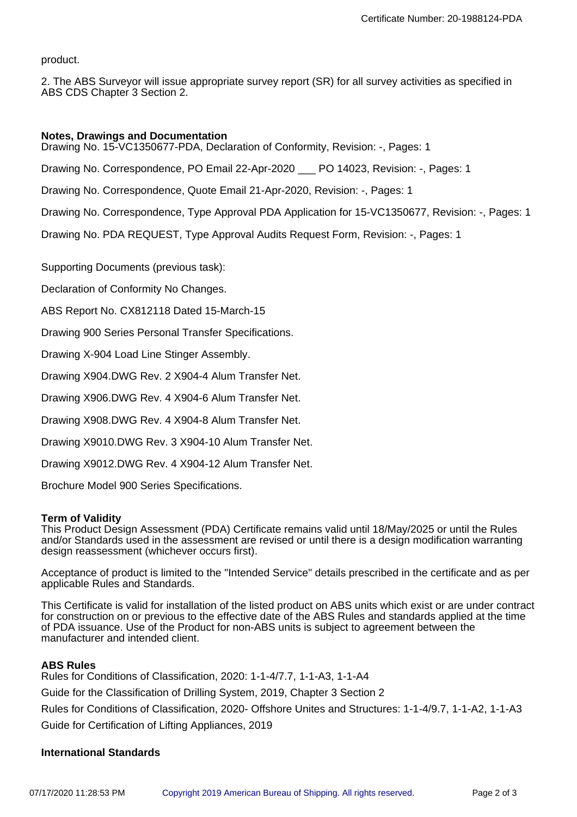product.

2. The ABS Surveyor will issue appropriate survey report (SR) for all survey activities as specified in ABS CDS Chapter 3 Section 2.

## **Notes, Drawings and Documentation**

Drawing No. 15-VC1350677-PDA, Declaration of Conformity, Revision: -, Pages: 1

Drawing No. Correspondence, PO Email 22-Apr-2020 \_\_\_ PO 14023, Revision: -, Pages: 1

Drawing No. Correspondence, Quote Email 21-Apr-2020, Revision: -, Pages: 1

Drawing No. Correspondence, Type Approval PDA Application for 15-VC1350677, Revision: -, Pages: 1

Drawing No. PDA REQUEST, Type Approval Audits Request Form, Revision: -, Pages: 1

Supporting Documents (previous task):

Declaration of Conformity No Changes.

ABS Report No. CX812118 Dated 15-March-15

Drawing 900 Series Personal Transfer Specifications.

Drawing X-904 Load Line Stinger Assembly.

Drawing X904.DWG Rev. 2 X904-4 Alum Transfer Net.

Drawing X906.DWG Rev. 4 X904-6 Alum Transfer Net.

Drawing X908.DWG Rev. 4 X904-8 Alum Transfer Net.

Drawing X9010.DWG Rev. 3 X904-10 Alum Transfer Net.

Drawing X9012.DWG Rev. 4 X904-12 Alum Transfer Net.

Brochure Model 900 Series Specifications.

## **Term of Validity**

This Product Design Assessment (PDA) Certificate remains valid until 18/May/2025 or until the Rules and/or Standards used in the assessment are revised or until there is a design modification warranting design reassessment (whichever occurs first).

Acceptance of product is limited to the "Intended Service" details prescribed in the certificate and as per applicable Rules and Standards.

This Certificate is valid for installation of the listed product on ABS units which exist or are under contract for construction on or previous to the effective date of the ABS Rules and standards applied at the time of PDA issuance. Use of the Product for non-ABS units is subject to agreement between the manufacturer and intended client.

## **ABS Rules**

Rules for Conditions of Classification, 2020: 1-1-4/7.7, 1-1-A3, 1-1-A4 Guide for the Classification of Drilling System, 2019, Chapter 3 Section 2 Rules for Conditions of Classification, 2020- Offshore Unites and Structures: 1-1-4/9.7, 1-1-A2, 1-1-A3 Guide for Certification of Lifting Appliances, 2019

## **International Standards**